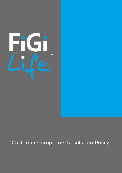

# Customer Complaints Resolution Policy